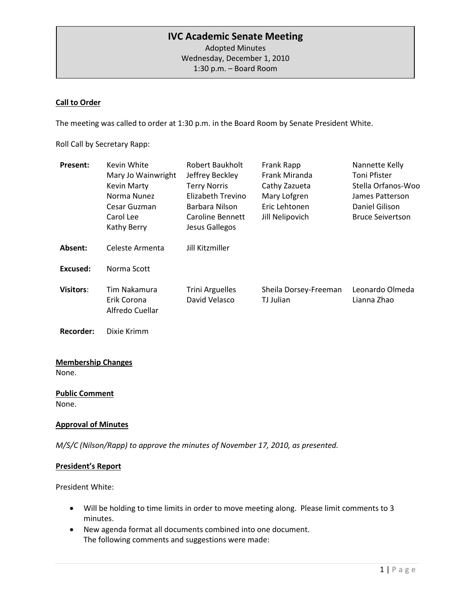# **IVC Academic Senate Meeting**

Adopted Minutes Wednesday, December 1, 2010 1:30 p.m. – Board Room

#### **Call to Order**

The meeting was called to order at 1:30 p.m. in the Board Room by Senate President White.

Roll Call by Secretary Rapp:

| <b>Present:</b>  | Kevin White<br>Mary Jo Wainwright<br>Kevin Marty<br>Norma Nunez<br>Cesar Guzman<br>Carol Lee<br>Kathy Berry | Robert Baukholt<br>Jeffrey Beckley<br><b>Terry Norris</b><br>Elizabeth Trevino<br>Barbara Nilson<br>Caroline Bennett<br>Jesus Gallegos | Frank Rapp<br>Frank Miranda<br>Cathy Zazueta<br>Mary Lofgren<br>Eric Lehtonen<br>Jill Nelipovich | Nannette Kelly<br>Toni Pfister<br>Stella Orfanos-Woo<br>James Patterson<br>Daniel Gilison<br><b>Bruce Seivertson</b> |
|------------------|-------------------------------------------------------------------------------------------------------------|----------------------------------------------------------------------------------------------------------------------------------------|--------------------------------------------------------------------------------------------------|----------------------------------------------------------------------------------------------------------------------|
| Absent:          | Celeste Armenta                                                                                             | Jill Kitzmiller                                                                                                                        |                                                                                                  |                                                                                                                      |
| Excused:         | Norma Scott                                                                                                 |                                                                                                                                        |                                                                                                  |                                                                                                                      |
| <b>Visitors:</b> | Tim Nakamura<br>Erik Corona<br>Alfredo Cuellar                                                              | <b>Trini Arguelles</b><br>David Velasco                                                                                                | Sheila Dorsey-Freeman<br>TJ Julian                                                               | Leonardo Olmeda<br>Lianna Zhao                                                                                       |
| Recorder:        | Dixie Krimm                                                                                                 |                                                                                                                                        |                                                                                                  |                                                                                                                      |

#### **Membership Changes**

None.

#### **Public Comment**

None.

#### **Approval of Minutes**

*M/S/C (Nilson/Rapp) to approve the minutes of November 17, 2010, as presented.*

#### **President's Report**

President White:

- Will be holding to time limits in order to move meeting along. Please limit comments to 3 minutes.
- New agenda format all documents combined into one document. The following comments and suggestions were made: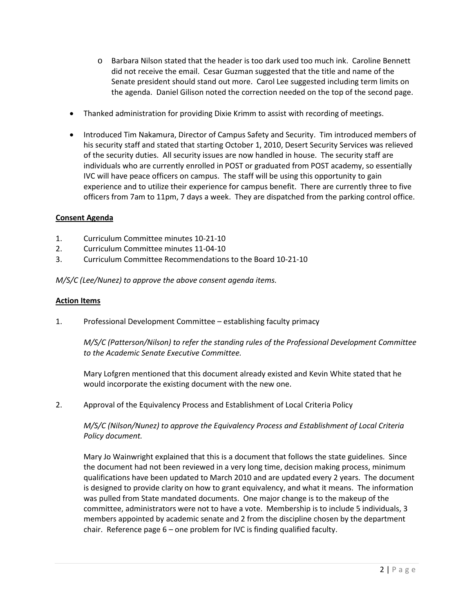- o Barbara Nilson stated that the header is too dark used too much ink. Caroline Bennett did not receive the email. Cesar Guzman suggested that the title and name of the Senate president should stand out more. Carol Lee suggested including term limits on the agenda. Daniel Gilison noted the correction needed on the top of the second page.
- Thanked administration for providing Dixie Krimm to assist with recording of meetings.
- Introduced Tim Nakamura, Director of Campus Safety and Security. Tim introduced members of his security staff and stated that starting October 1, 2010, Desert Security Services was relieved of the security duties. All security issues are now handled in house. The security staff are individuals who are currently enrolled in POST or graduated from POST academy, so essentially IVC will have peace officers on campus. The staff will be using this opportunity to gain experience and to utilize their experience for campus benefit. There are currently three to five officers from 7am to 11pm, 7 days a week. They are dispatched from the parking control office.

## **Consent Agenda**

- 1. Curriculum Committee minutes 10-21-10
- 2. Curriculum Committee minutes 11-04-10
- 3. Curriculum Committee Recommendations to the Board 10-21-10

*M/S/C (Lee/Nunez) to approve the above consent agenda items.*

#### **Action Items**

1. Professional Development Committee – establishing faculty primacy

*M/S/C (Patterson/Nilson) to refer the standing rules of the Professional Development Committee to the Academic Senate Executive Committee.*

Mary Lofgren mentioned that this document already existed and Kevin White stated that he would incorporate the existing document with the new one.

2. Approval of the Equivalency Process and Establishment of Local Criteria Policy

*M/S/C (Nilson/Nunez) to approve the Equivalency Process and Establishment of Local Criteria Policy document.*

Mary Jo Wainwright explained that this is a document that follows the state guidelines. Since the document had not been reviewed in a very long time, decision making process, minimum qualifications have been updated to March 2010 and are updated every 2 years. The document is designed to provide clarity on how to grant equivalency, and what it means. The information was pulled from State mandated documents. One major change is to the makeup of the committee, administrators were not to have a vote. Membership is to include 5 individuals, 3 members appointed by academic senate and 2 from the discipline chosen by the department chair. Reference page 6 – one problem for IVC is finding qualified faculty.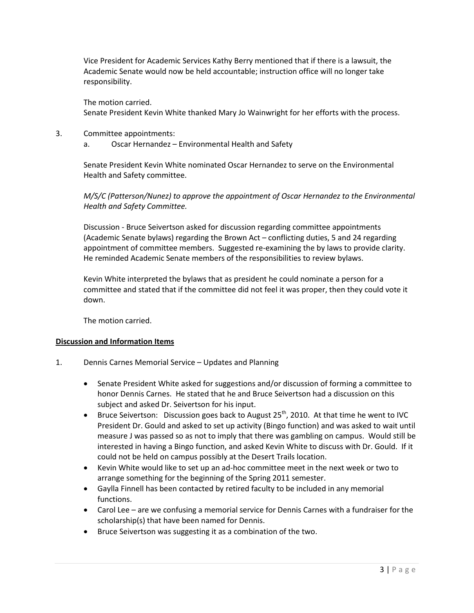Vice President for Academic Services Kathy Berry mentioned that if there is a lawsuit, the Academic Senate would now be held accountable; instruction office will no longer take responsibility.

The motion carried. Senate President Kevin White thanked Mary Jo Wainwright for her efforts with the process.

- 3. Committee appointments:
	- a. Oscar Hernandez Environmental Health and Safety

Senate President Kevin White nominated Oscar Hernandez to serve on the Environmental Health and Safety committee.

# *M/S/C (Patterson/Nunez) to approve the appointment of Oscar Hernandez to the Environmental Health and Safety Committee.*

Discussion - Bruce Seivertson asked for discussion regarding committee appointments (Academic Senate bylaws) regarding the Brown Act – conflicting duties, 5 and 24 regarding appointment of committee members. Suggested re-examining the by laws to provide clarity. He reminded Academic Senate members of the responsibilities to review bylaws.

Kevin White interpreted the bylaws that as president he could nominate a person for a committee and stated that if the committee did not feel it was proper, then they could vote it down.

The motion carried.

#### **Discussion and Information Items**

- 1. Dennis Carnes Memorial Service Updates and Planning
	- Senate President White asked for suggestions and/or discussion of forming a committee to honor Dennis Carnes. He stated that he and Bruce Seivertson had a discussion on this subject and asked Dr. Seivertson for his input.
	- Bruce Seivertson: Discussion goes back to August  $25<sup>th</sup>$ , 2010. At that time he went to IVC President Dr. Gould and asked to set up activity (Bingo function) and was asked to wait until measure J was passed so as not to imply that there was gambling on campus. Would still be interested in having a Bingo function, and asked Kevin White to discuss with Dr. Gould. If it could not be held on campus possibly at the Desert Trails location.
	- Kevin White would like to set up an ad-hoc committee meet in the next week or two to arrange something for the beginning of the Spring 2011 semester.
	- Gaylla Finnell has been contacted by retired faculty to be included in any memorial functions.
	- Carol Lee are we confusing a memorial service for Dennis Carnes with a fundraiser for the scholarship(s) that have been named for Dennis.
	- Bruce Seivertson was suggesting it as a combination of the two.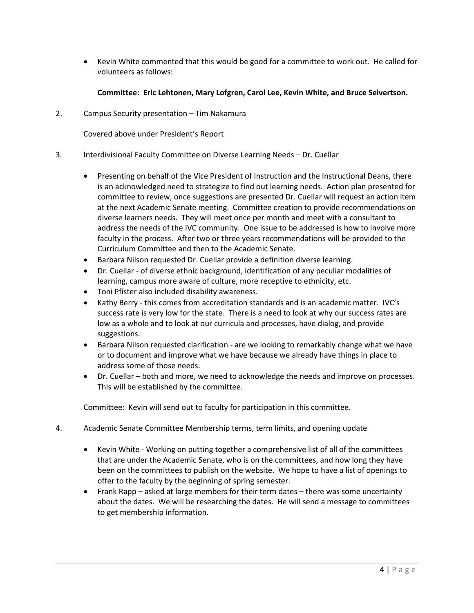• Kevin White commented that this would be good for a committee to work out. He called for volunteers as follows:

#### **Committee: Eric Lehtonen, Mary Lofgren, Carol Lee, Kevin White, and Bruce Seivertson.**

#### 2. Campus Security presentation – Tim Nakamura

Covered above under President's Report

- 3. Interdivisional Faculty Committee on Diverse Learning Needs Dr. Cuellar
	- Presenting on behalf of the Vice President of Instruction and the Instructional Deans, there is an acknowledged need to strategize to find out learning needs. Action plan presented for committee to review, once suggestions are presented Dr. Cuellar will request an action item at the next Academic Senate meeting. Committee creation to provide recommendations on diverse learners needs. They will meet once per month and meet with a consultant to address the needs of the IVC community. One issue to be addressed is how to involve more faculty in the process. After two or three years recommendations will be provided to the Curriculum Committee and then to the Academic Senate.
	- Barbara Nilson requested Dr. Cuellar provide a definition diverse learning.
	- Dr. Cuellar of diverse ethnic background, identification of any peculiar modalities of learning, campus more aware of culture, more receptive to ethnicity, etc.
	- Toni Pfister also included disability awareness.
	- Kathy Berry this comes from accreditation standards and is an academic matter. IVC's success rate is very low for the state. There is a need to look at why our success rates are low as a whole and to look at our curricula and processes, have dialog, and provide suggestions.
	- Barbara Nilson requested clarification are we looking to remarkably change what we have or to document and improve what we have because we already have things in place to address some of those needs.
	- Dr. Cuellar both and more, we need to acknowledge the needs and improve on processes. This will be established by the committee.

Committee: Kevin will send out to faculty for participation in this committee.

- 4. Academic Senate Committee Membership terms, term limits, and opening update
	- Kevin White Working on putting together a comprehensive list of all of the committees that are under the Academic Senate, who is on the committees, and how long they have been on the committees to publish on the website. We hope to have a list of openings to offer to the faculty by the beginning of spring semester.
	- Frank Rapp asked at large members for their term dates there was some uncertainty about the dates. We will be researching the dates. He will send a message to committees to get membership information.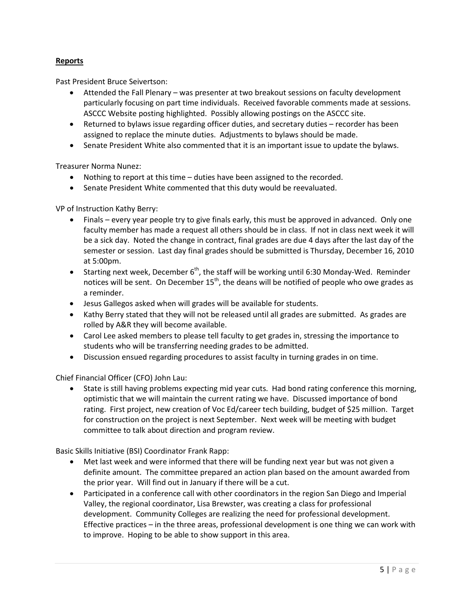# **Reports**

Past President Bruce Seivertson:

- Attended the Fall Plenary was presenter at two breakout sessions on faculty development particularly focusing on part time individuals. Received favorable comments made at sessions. ASCCC Website posting highlighted. Possibly allowing postings on the ASCCC site.
- Returned to bylaws issue regarding officer duties, and secretary duties recorder has been assigned to replace the minute duties. Adjustments to bylaws should be made.
- Senate President White also commented that it is an important issue to update the bylaws.

Treasurer Norma Nunez:

- Nothing to report at this time duties have been assigned to the recorded.
- Senate President White commented that this duty would be reevaluated.

VP of Instruction Kathy Berry:

- Finals every year people try to give finals early, this must be approved in advanced. Only one faculty member has made a request all others should be in class. If not in class next week it will be a sick day. Noted the change in contract, final grades are due 4 days after the last day of the semester or session. Last day final grades should be submitted is Thursday, December 16, 2010 at 5:00pm.
- Starting next week, December  $6<sup>th</sup>$ , the staff will be working until 6:30 Monday-Wed. Reminder notices will be sent. On December  $15<sup>th</sup>$ , the deans will be notified of people who owe grades as a reminder.
- Jesus Gallegos asked when will grades will be available for students.
- Kathy Berry stated that they will not be released until all grades are submitted. As grades are rolled by A&R they will become available.
- Carol Lee asked members to please tell faculty to get grades in, stressing the importance to students who will be transferring needing grades to be admitted.
- Discussion ensued regarding procedures to assist faculty in turning grades in on time.

Chief Financial Officer (CFO) John Lau:

• State is still having problems expecting mid year cuts. Had bond rating conference this morning, optimistic that we will maintain the current rating we have. Discussed importance of bond rating. First project, new creation of Voc Ed/career tech building, budget of \$25 million. Target for construction on the project is next September. Next week will be meeting with budget committee to talk about direction and program review.

Basic Skills Initiative (BSI) Coordinator Frank Rapp:

- Met last week and were informed that there will be funding next year but was not given a definite amount. The committee prepared an action plan based on the amount awarded from the prior year. Will find out in January if there will be a cut.
- Participated in a conference call with other coordinators in the region San Diego and Imperial Valley, the regional coordinator, Lisa Brewster, was creating a class for professional development. Community Colleges are realizing the need for professional development. Effective practices – in the three areas, professional development is one thing we can work with to improve. Hoping to be able to show support in this area.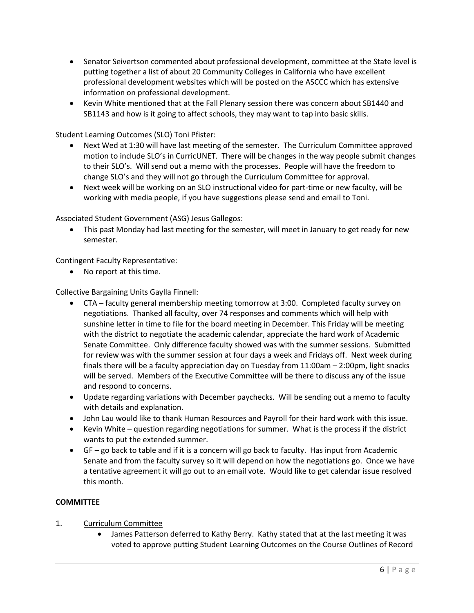- Senator Seivertson commented about professional development, committee at the State level is putting together a list of about 20 Community Colleges in California who have excellent professional development websites which will be posted on the ASCCC which has extensive information on professional development.
- Kevin White mentioned that at the Fall Plenary session there was concern about SB1440 and SB1143 and how is it going to affect schools, they may want to tap into basic skills.

Student Learning Outcomes (SLO) Toni Pfister:

- Next Wed at 1:30 will have last meeting of the semester. The Curriculum Committee approved motion to include SLO's in CurricUNET. There will be changes in the way people submit changes to their SLO's. Will send out a memo with the processes. People will have the freedom to change SLO's and they will not go through the Curriculum Committee for approval.
- Next week will be working on an SLO instructional video for part-time or new faculty, will be working with media people, if you have suggestions please send and email to Toni.

Associated Student Government (ASG) Jesus Gallegos:

• This past Monday had last meeting for the semester, will meet in January to get ready for new semester.

Contingent Faculty Representative:

• No report at this time.

Collective Bargaining Units Gaylla Finnell:

- CTA faculty general membership meeting tomorrow at 3:00. Completed faculty survey on negotiations. Thanked all faculty, over 74 responses and comments which will help with sunshine letter in time to file for the board meeting in December. This Friday will be meeting with the district to negotiate the academic calendar, appreciate the hard work of Academic Senate Committee. Only difference faculty showed was with the summer sessions. Submitted for review was with the summer session at four days a week and Fridays off. Next week during finals there will be a faculty appreciation day on Tuesday from 11:00am – 2:00pm, light snacks will be served. Members of the Executive Committee will be there to discuss any of the issue and respond to concerns.
- Update regarding variations with December paychecks. Will be sending out a memo to faculty with details and explanation.
- John Lau would like to thank Human Resources and Payroll for their hard work with this issue.
- Kevin White question regarding negotiations for summer. What is the process if the district wants to put the extended summer.
- GF go back to table and if it is a concern will go back to faculty. Has input from Academic Senate and from the faculty survey so it will depend on how the negotiations go. Once we have a tentative agreement it will go out to an email vote. Would like to get calendar issue resolved this month.

## **COMMITTEE**

- 1. Curriculum Committee
	- James Patterson deferred to Kathy Berry. Kathy stated that at the last meeting it was voted to approve putting Student Learning Outcomes on the Course Outlines of Record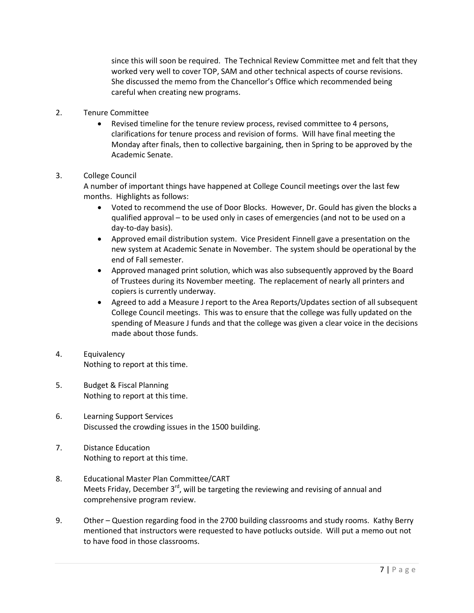since this will soon be required. The Technical Review Committee met and felt that they worked very well to cover TOP, SAM and other technical aspects of course revisions. She discussed the memo from the Chancellor's Office which recommended being careful when creating new programs.

- 2. Tenure Committee
	- Revised timeline for the tenure review process, revised committee to 4 persons, clarifications for tenure process and revision of forms. Will have final meeting the Monday after finals, then to collective bargaining, then in Spring to be approved by the Academic Senate.

# 3. College Council

A number of important things have happened at College Council meetings over the last few months. Highlights as follows:

- Voted to recommend the use of Door Blocks. However, Dr. Gould has given the blocks a qualified approval – to be used only in cases of emergencies (and not to be used on a day-to-day basis).
- Approved email distribution system. Vice President Finnell gave a presentation on the new system at Academic Senate in November. The system should be operational by the end of Fall semester.
- Approved managed print solution, which was also subsequently approved by the Board of Trustees during its November meeting. The replacement of nearly all printers and copiers is currently underway.
- Agreed to add a Measure J report to the Area Reports/Updates section of all subsequent College Council meetings. This was to ensure that the college was fully updated on the spending of Measure J funds and that the college was given a clear voice in the decisions made about those funds.
- 4. Equivalency Nothing to report at this time.
- 5. Budget & Fiscal Planning Nothing to report at this time.
- 6. Learning Support Services Discussed the crowding issues in the 1500 building.
- 7. Distance Education Nothing to report at this time.
- 8. Educational Master Plan Committee/CART Meets Friday, December  $3<sup>rd</sup>$ , will be targeting the reviewing and revising of annual and comprehensive program review.
- 9. Other Question regarding food in the 2700 building classrooms and study rooms. Kathy Berry mentioned that instructors were requested to have potlucks outside. Will put a memo out not to have food in those classrooms.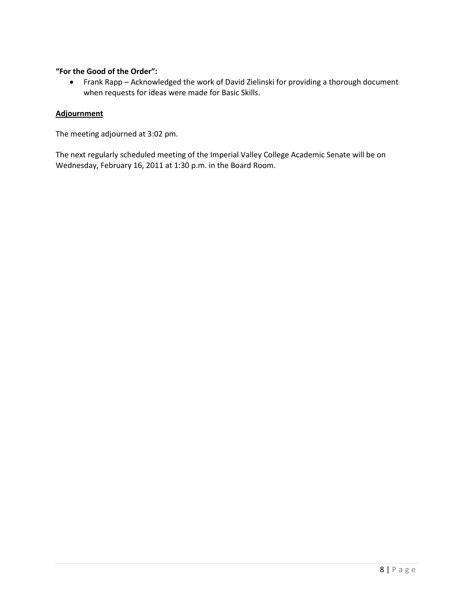## **"For the Good of the Order":**

• Frank Rapp – Acknowledged the work of David Zielinski for providing a thorough document when requests for ideas were made for Basic Skills.

## **Adjournment**

The meeting adjourned at 3:02 pm.

The next regularly scheduled meeting of the Imperial Valley College Academic Senate will be on Wednesday, February 16, 2011 at 1:30 p.m. in the Board Room.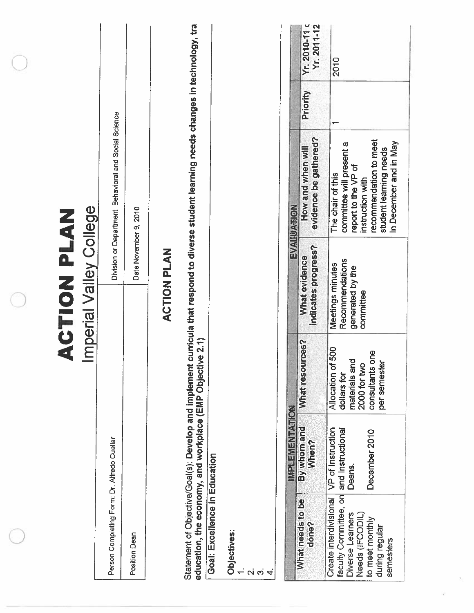|                                                                                                                                          |                                                                   |                                                                                                      | Imperial Valley College<br><b>ACTION PLAN</b>                        |                                                                                                                                                                        |          |                            |
|------------------------------------------------------------------------------------------------------------------------------------------|-------------------------------------------------------------------|------------------------------------------------------------------------------------------------------|----------------------------------------------------------------------|------------------------------------------------------------------------------------------------------------------------------------------------------------------------|----------|----------------------------|
| Person Completing Form: Dr. Alfredo Cuellar                                                                                              |                                                                   |                                                                                                      |                                                                      | Division or Department Behavioral and Social Science                                                                                                                   |          |                            |
| Position Dean                                                                                                                            |                                                                   |                                                                                                      | Date November 9, 2010                                                |                                                                                                                                                                        |          |                            |
|                                                                                                                                          |                                                                   |                                                                                                      | <b>ACTION PLAN</b>                                                   |                                                                                                                                                                        |          |                            |
| education, the economy, and workplace (EMP Objective 2.1)<br>Goal: Excellence in Education                                               |                                                                   |                                                                                                      |                                                                      | Statement of Objective/Goal(s): Develop and implement curricula that respond to diverse student learning needs changes in technology, tra                              |          |                            |
| Objectives:<br>ပ္ ယ္<br>$\overline{\mathbf{r}}$                                                                                          |                                                                   |                                                                                                      |                                                                      |                                                                                                                                                                        |          |                            |
|                                                                                                                                          | <b>IMPLEMENTATION</b>                                             |                                                                                                      |                                                                      | <b>EVALUATION</b>                                                                                                                                                      |          |                            |
| What needs to be<br>done?                                                                                                                | By whom and<br>When?                                              | What resources?                                                                                      | indicates progress?<br>What evidence                                 | evidence be gathered?<br>How and when will                                                                                                                             | Priority | Yr. 2011-12<br>Yr. 2010-11 |
| faculty Committee, on<br>Create interdivisional<br>Diverse Learners<br>Needs (IFCODIL)<br>to meet monthly<br>during regular<br>semesters | VP of Instruction<br>and Instructional<br>December 2010<br>Deans. | Allocation of 500<br>consultants one<br>materials and<br>per semester<br>2000 for two<br>dollars for | Recommendations<br>Meetings minutes<br>generated by the<br>committee | recommendation to meet<br>In December and in May<br>committee will present a<br>student learning needs<br>report to the VP of<br>The chair of this<br>instruction with |          | 2010                       |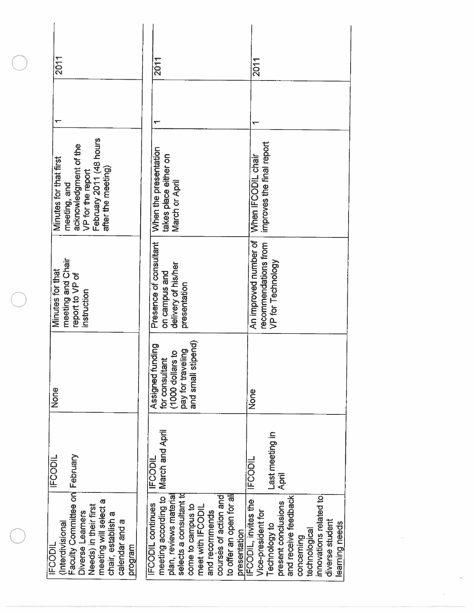| Faculty Committee on February<br>meeting will select a<br>Needs) in their first<br>Diverse Learners<br>chair, establish a<br>calendar and a<br>(Interdivisional<br><b>IECODIL</b><br>program                                          | <b>IFCODIL</b>                             | None                                                                                              | meeting and Chair<br>report to VP of<br>Minutes for that<br>instruction        | February 2011 (48 hours<br>acknowledgment of the<br>Minutes for that first<br>after the meeting)<br>VP for the report<br>meeting, and | 2011 |
|---------------------------------------------------------------------------------------------------------------------------------------------------------------------------------------------------------------------------------------|--------------------------------------------|---------------------------------------------------------------------------------------------------|--------------------------------------------------------------------------------|---------------------------------------------------------------------------------------------------------------------------------------|------|
| selects a consultant to<br>courses of action and<br>to offer an open for all<br>plan, reviews materia<br>meeting according to<br><b>IFCODIL</b> continues<br>come to campus to<br>meet with IFCODIL<br>and recommends<br>presentation | March and April<br><b>IFCODIL</b>          | and small stipend)<br>Assigned funding<br>pay for traveling<br>(1000 dollars to<br>for consultant | Presence of consultant<br>delivery of his/her<br>on campus and<br>presentation | When the presentation<br>takes place either on<br>March or April                                                                      | 2011 |
| and receive feedback<br>innovations related to<br><b>IFCODIL</b> , invites the<br>present conclusions<br>Vice-president for<br>diverse student<br>learning needs<br>Technology to<br>technological<br>concerning                      | Last meeting in<br><b>IFCODIL</b><br>April | None                                                                                              | An improved number of<br>recommendations from<br>VP for Technology             | improves the final report<br>When IFCODIL chair                                                                                       | 2011 |

동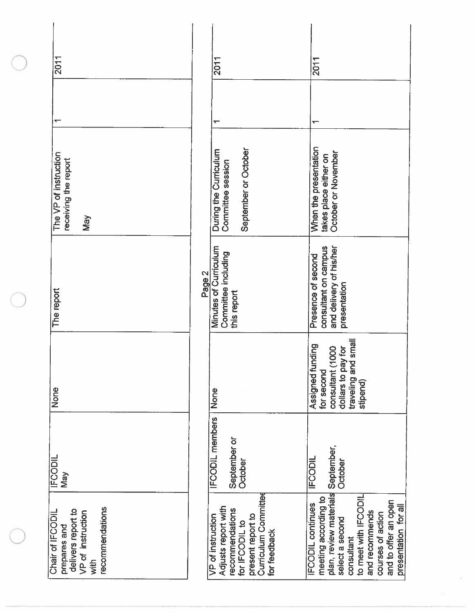| 2011                                                                                                   | 2011                                                                                                                                       | 2011                                                                                                                                                                                                                       |
|--------------------------------------------------------------------------------------------------------|--------------------------------------------------------------------------------------------------------------------------------------------|----------------------------------------------------------------------------------------------------------------------------------------------------------------------------------------------------------------------------|
| ᡪ                                                                                                      |                                                                                                                                            | ᅮ                                                                                                                                                                                                                          |
| The VP of instruction<br>receiving the report<br><b>May</b>                                            | September or October<br>During the Curriculum<br>Committee session                                                                         | When the presentation<br>October or November<br>takes place either on                                                                                                                                                      |
| The report                                                                                             | <b>Minutes of Curriculum</b><br>Committee including<br>Page 2<br>this report                                                               | and delivery of his/her<br>consultant on campus<br>Presence of second<br>presentation                                                                                                                                      |
| None                                                                                                   | None                                                                                                                                       | traveling and small<br>funding<br>dollars to pay for<br>consultant (1000<br>for second<br>Assigned i<br>stipend)                                                                                                           |
| <b>IFCODIL</b><br><b>May</b>                                                                           | <b>IFCODIL</b> members<br>September or<br>October                                                                                          | September,<br><b>IFCODIL</b><br>October                                                                                                                                                                                    |
| recommendations<br>delivers report to<br>Chair of IFCODIL<br>VP of instruction<br>prepares and<br>with | Curriculum Committee<br>Adjusts report with<br>recommendations<br>VP of instruction<br>present report to<br>for IFCODIL to<br>for feedback | plan, review materials<br>to meet with IFCODIL<br>meeting according to<br>and to offer an open<br><b>IFCODIL</b> continues<br>presentation for all<br>and recommends<br>courses of action<br>select a second<br>consultant |
|                                                                                                        |                                                                                                                                            |                                                                                                                                                                                                                            |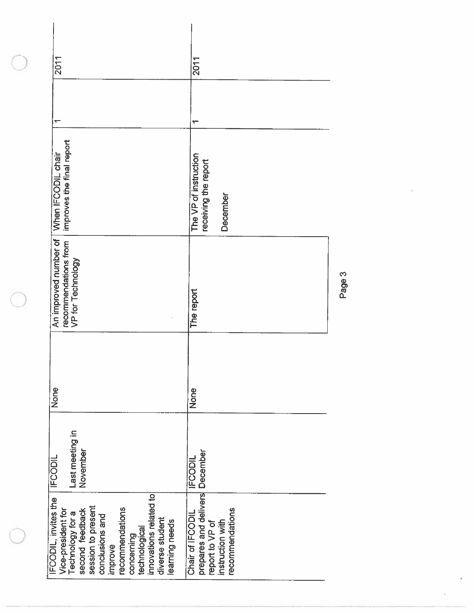| receiving the report<br>December<br>recommendations from<br>VP for Technology<br>The report<br>None<br>Last meeting in<br>November<br><b>IFCODIL</b><br>Vice-president for<br>Technology for a<br>second feedback | ᡪ<br>When IFCODIL chair    | 2011 |
|-------------------------------------------------------------------------------------------------------------------------------------------------------------------------------------------------------------------|----------------------------|------|
|                                                                                                                                                                                                                   | improves the final report  |      |
| session to present                                                                                                                                                                                                |                            |      |
| conclusions and                                                                                                                                                                                                   |                            |      |
| improve                                                                                                                                                                                                           |                            |      |
| recommendations<br>concerning                                                                                                                                                                                     |                            |      |
| technological                                                                                                                                                                                                     |                            |      |
| innovations related to<br>diverse student<br>learning needs                                                                                                                                                       |                            |      |
|                                                                                                                                                                                                                   |                            |      |
|                                                                                                                                                                                                                   |                            |      |
| recommendations<br>Chair of IFCODIL                                                                                                                                                                               |                            |      |
| prepares and delivers December<br>instruction with<br>report to VP of                                                                                                                                             |                            |      |
|                                                                                                                                                                                                                   | ↽<br>The VP of instruction | 2011 |

Page 3